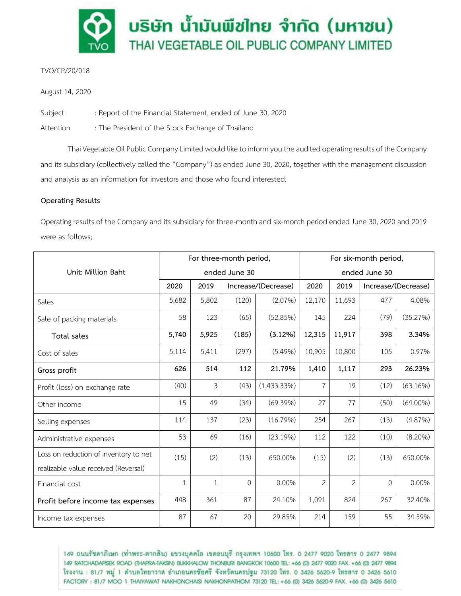

## TVO/CP/20/018

August 14, 2020

Subject : Report of the Financial Statement, ended of June 30, 2020

Attention : The President of the Stock Exchange of Thailand

Thai Vegetable Oil Public Company Limited would like to inform you the audited operating results of the Company and its subsidiary (collectively called the "Company") as ended June 30, 2020, together with the management discussion and analysis as an information for investors and those who found interested.

# **Operating Results**

Operating results of the Company and its subsidiary for three-month and six-month period ended June 30, 2020 and 2019 were as follows;

|                                       | For three-month period, |              |                     |                | For six-month period, |                |                     |             |
|---------------------------------------|-------------------------|--------------|---------------------|----------------|-----------------------|----------------|---------------------|-------------|
| Unit: Million Baht                    | ended June 30           |              |                     |                | ended June 30         |                |                     |             |
|                                       | 2020                    | 2019         | Increase/(Decrease) |                | 2020                  | 2019           | Increase/(Decrease) |             |
| Sales                                 | 5,682                   | 5,802        | (120)               | (2.07%)        | 12,170                | 11,693         | 477                 | 4.08%       |
| Sale of packing materials             | 58                      | 123          | (65)                | (52.85%)       | 145                   | 224            | (79)                | (35.27%)    |
| Total sales                           | 5,740                   | 5,925        | (185)               | $(3.12\%)$     | 12,315                | 11,917         | 398                 | 3.34%       |
| Cost of sales                         | 5,114                   | 5,411        | (297)               | (5.49%)        | 10,905                | 10,800         | 105                 | 0.97%       |
| Gross profit                          | 626                     | 514          | 112                 | 21.79%         | 1,410                 | 1,117          | 293                 | 26.23%      |
| Profit (loss) on exchange rate        | (40)                    | 3            | (43)                | $(1,433.33\%)$ | $\overline{7}$        | 19             | (12)                | (63.16%)    |
| Other income                          | 15                      | 49           | (34)                | (69.39%)       | 27                    | 77             | (50)                | $(64.00\%)$ |
| Selling expenses                      | 114                     | 137          | (23)                | (16.79%)       | 254                   | 267            | (13)                | (4.87%)     |
| Administrative expenses               | 53                      | 69           | (16)                | (23.19%)       | 112                   | 122            | (10)                | $(8.20\%)$  |
| Loss on reduction of inventory to net | (15)                    | (2)          | (13)                | 650.00%        | (15)                  | (2)            | (13)                | 650.00%     |
| realizable value received (Reversal)  |                         |              |                     |                |                       |                |                     |             |
| Financial cost                        | 1                       | $\mathbf{1}$ | $\Omega$            | 0.00%          | $\overline{2}$        | $\mathfrak{D}$ | $\Omega$            | 0.00%       |
| Profit before income tax expenses     | 448                     | 361          | 87                  | 24.10%         | 1,091                 | 824            | 267                 | 32.40%      |
| Income tax expenses                   | 87                      | 67           | 20                  | 29.85%         | 214                   | 159            | 55                  | 34.59%      |

149 ถนนรัชดาภิเษก (ท่าพระ-ตากลิน) แขวงบุคคโล เขตธนบุรี กรุงเทพฯ 10600 โทร. 0 2477 9020 โทรสาร 0 2477 9894 149 RATCHADAPISEK ROAD (THAPRA-TAKSIN) BUKKHALOW THONBURI BANGKOK 10600 TEL: +66 (0) 2477 9020 FAX. +66 (0) 2477 9894 โรงงาน : 81/7 หมู่ 1 ตำบลไทยาวาล อำเภอนครชัยศรี จังหวัดนครปฐม 73120 โทร. 0 3426 5620-9 โทรสาร 0 3426 5610 FACTORY: 81/7 MOO 1 THAIYAWAT NAKHONCHAISI NAKHONPATHOM 73120 TEL: +66 (0) 3426 5620-9 FAX. +66 (0) 3426 5610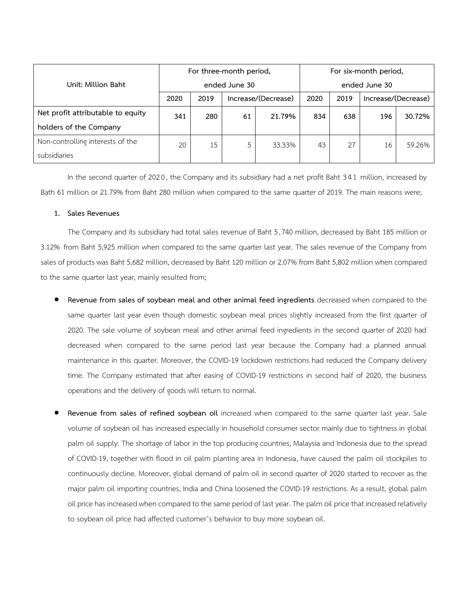|                                   | For three-month period, |      |    |                     | For six-month period, |      |                     |        |
|-----------------------------------|-------------------------|------|----|---------------------|-----------------------|------|---------------------|--------|
| Unit: Million Baht                | ended June 30           |      |    |                     | ended June 30         |      |                     |        |
|                                   | 2020                    | 2019 |    | Increase/(Decrease) | 2020                  | 2019 | Increase/(Decrease) |        |
| Net profit attributable to equity | 341                     | 280  | 61 | 21.79%              | 834                   | 638  | 196                 | 30.72% |
| holders of the Company            |                         |      |    |                     |                       |      |                     |        |
| Non-controlling interests of the  | 20                      | 15   | 5  | 33.33%              | 43                    | 27   | 16                  | 59.26% |
| subsidiaries                      |                         |      |    |                     |                       |      |                     |        |

In the second quarter of 202 0, the Company and its subsidiary had a net profit Baht 341 million, increased by Bath 61 million or 21.79% from Baht 280 million when compared to the same quarter of 2019. The main reasons were;

## **1. Sales Revenues**

The Company and its subsidiary had total sales revenue of Baht 5,740 million, decreased by Baht 185 million or 3.12% from Baht 5,925 million when compared to the same quarter last year. The sales revenue of the Company from sales of products was Baht 5,682 million, decreased by Baht 120 million or 2.07% from Baht 5,802 million when compared to the same quarter last year, mainly resulted from;

- **Revenue from sales of soybean meal and other animal feed ingredients** decreased when compared to the same quarter last year even though domestic soybean meal prices slightly increased from the first quarter of 2020. The sale volume of soybean meal and other animal feed ingredients in the second quarter of 2020 had decreased when compared to the same period last year because the Company had a planned annual maintenance in this quarter. Moreover, the COVID-19 lockdown restrictions had reduced the Company delivery time. The Company estimated that after easing of COVID-19 restrictions in second half of 2020, the business operations and the delivery of goods will return to normal.
- **Revenue from sales of refined soybean oil** increased when compared to the same quarter last year. Sale volume of soybean oil has increased especially in household consumer sector mainly due to tightness in global palm oil supply. The shortage of labor in the top producing countries, Malaysia and Indonesia due to the spread of COVID-19, together with flood in oil palm planting area in Indonesia, have caused the palm oil stockpiles to continuously decline. Moreover, global demand of palm oil in second quarter of 2020 started to recover as the major palm oil importing countries, India and China loosened the COVID-19 restrictions. As a result, global palm oil price has increased when compared to the same period of last year. The palm oil price that increased relatively to soybean oil price had affected customer's behavior to buy more soybean oil.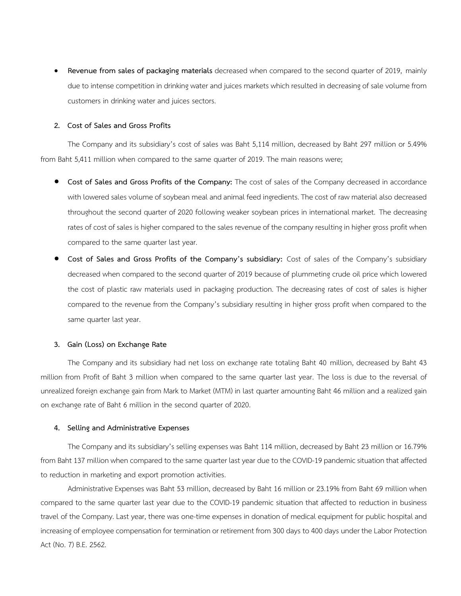**Revenue from sales of packaging materials** decreased when compared to the second quarter of 2019, mainly due to intense competition in drinking water and juices markets which resulted in decreasing of sale volume from customers in drinking water and juices sectors.

#### **2. Cost of Sales and Gross Profits**

The Company and its subsidiary's cost of sales was Baht 5,114 million, decreased by Baht 297 million or 5.49% from Baht 5,411 million when compared to the same quarter of 2019. The main reasons were;

- **Cost of Sales and Gross Profits of the Company:** The cost of sales of the Company decreased in accordance with lowered sales volume of soybean meal and animal feed ingredients. The cost of raw material also decreased throughout the second quarter of 2020 following weaker soybean prices in international market. The decreasing rates of cost of sales is higher compared to the sales revenue of the company resulting in higher gross profit when compared to the same quarter last year.
- **Cost of Sales and Gross Profits of the Company's subsidiary:** Cost of sales of the Company's subsidiary decreased when compared to the second quarter of 2019 because of plummeting crude oil price which lowered the cost of plastic raw materials used in packaging production. The decreasing rates of cost of sales is higher compared to the revenue from the Company's subsidiary resulting in higher gross profit when compared to the same quarter last year.

#### **3. Gain (Loss) on Exchange Rate**

The Company and its subsidiary had net loss on exchange rate totaling Baht 40 million, decreased by Baht 43 million from Profit of Baht 3 million when compared to the same quarter last year. The loss is due to the reversal of unrealized foreign exchange gain from Mark to Market (MTM) in last quarter amounting Baht 46 million and a realized gain on exchange rate of Baht 6 million in the second quarter of 2020.

#### **4. Selling and Administrative Expenses**

The Company and its subsidiary's selling expenses was Baht 114 million, decreased by Baht 23 million or 16.79% from Baht 137 million when compared tothe same quarter last year due to the COVID-19 pandemic situation that affected to reduction in marketing and export promotion activities.

Administrative Expenses was Baht 53 million, decreased by Baht 16 million or 23.19% from Baht 69 million when compared to the same quarter last year due to the COVID-19 pandemic situation that affected to reduction in business travel of the Company. Last year, there was one-time expenses in donation of medical equipment for public hospital and increasing of employee compensation for termination or retirement from 300 days to 400 days under the Labor Protection Act (No. 7) B.E. 2562.